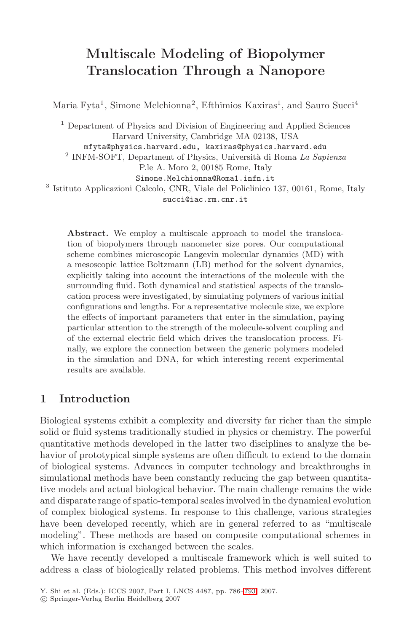# **Multiscale Modeling of Biopolymer Translocation Through a Nanopore**

Maria Fyta<sup>1</sup>, Simone Melchionna<sup>2</sup>, Efthimios Kaxiras<sup>1</sup>, and Sauro Succi<sup>4</sup>

<sup>1</sup> Department of Physics and Division of Engineering and Applied Sciences Harvard University, Cambridge MA 02138, USA mfyta@physics.harvard.edu, kaxiras@physics.harvard.edu

 $2$  INFM-SOFT, Department of Physics, Università di Roma La Sapienza

P.le A. Moro 2, 00185 Rome, Italy

Simone.Melchionna@Roma1.infn.it

<sup>3</sup> Istituto Applicazioni Calcolo, CNR, Viale del Policlinico 137, 00161, Rome, Italy

succi@iac.rm.cnr.it

**Abstract.** We employ a multiscale approach to model the translocation of biopolymers through nanometer size pores. Our computational scheme combines microscopic Langevin molecular dynamics (MD) with a mesoscopic lattice Boltzmann (LB) method for the solvent dynamics, explicitly taking into account the interactions of the molecule with the surrounding fluid. Both dynamical and statistical aspects of the translocation process were investigated, by simulating polymers of various initial configurations and lengths. For a representative molecule size, we explore the effects of important parameters that enter in the simulation, paying particular attention to the strength of the molecule-solvent coupling and of the external electric field which drives the translocation process. Finally, we explore the connection between the generic polymers modeled in the simulation and DNA, for which interesting recent experimental results are available.

### **1 Introduction**

Biological systems exhibit a complexity and diversity far richer than the simple solid or fluid systems traditionally studied in physics or chemistry. The powerful quantitative methods developed in the latter two disciplines to analyze the behavior of prototypical simple systems are often difficult to extend to the domain of biological systems. Advances in computer technology and breakthroughs in simulational methods have been constantly reducing the gap between quantitative models and actual biological behavior. The main challenge remains the wide and disparate range of spatio-temporal scales involved in the dynamical evolution of complex biological systems. In response to this challenge, various strategies have been developed recently, which are in general referred to as "multiscale modeling". These methods are based on composite computational schemes in which information is exchanged between the scales.

We have recently developed a multiscale framework which is well suited to address a class of biologically related problems. This method involves different

Y. Shi et al. (Eds.): ICCS 2007, Part I, LNCS 4487, pp. 786–793, 2007.

<sup>-</sup>c Springer-Verlag Berlin Heidelberg 2007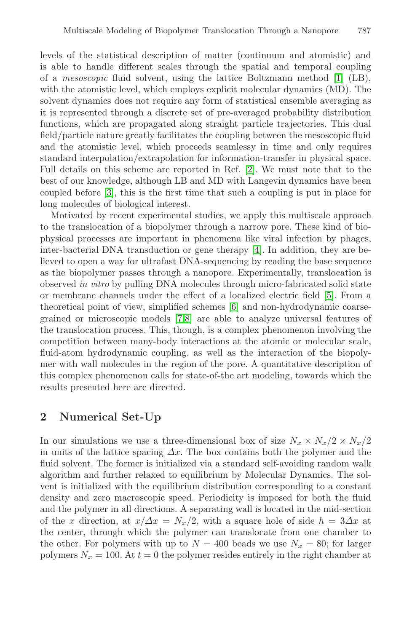levels of the statistical description of matter (continuum and atomistic) and is able to handle different scales through the spatial and temporal coupling of a mesoscopic fluid solvent, using the lattice Boltzmann method [1] (LB), with the atomistic level, which employs explicit molecular dynamics (MD). The solvent dynamics does not require any form of statistical ensemble averaging as it is represented through a discrete set of pre-averaged probability distribution functions, which are propagated along straight particle trajectories. This dual field/particle nature greatly facilitates the coupling between the mesoscopic fluid and the atomistic level, which proceeds seamlessy in time and only requires standard interpolation/extrapolation for information-transfer in physical space. Full details on this scheme are reported in Ref. [2]. We must note that to the best of our knowledge, although LB and MD with Langevin dynamics have been coupled before [3], this is the first time that such a coupling is put in place for long molecules of biological interest.

Motivated by recent experimental studies, we apply this multiscale approach to the translocation of a biopolymer through a narrow pore. These kind of biophysical processes are important in phenomena like viral infection by phages, inter-bacterial DNA transduction or gene therapy [4]. In addition, they are believed to open a way for ultrafast DNA-sequencing by reading the base sequence as the biopolymer passes through a nanopore. Experimentally, translocation is observed in vitro by pulling DNA molecules through micro-fabricated solid state or membrane channels under the effect of a localized electric field [5]. From a theoretical point of view, simplified schemes [6] and non-hydrodynamic coarsegrained or microscopic models [7,8] are able to analyze universal features of the translocation process. This, though, is a complex phenomenon involving the competition between many-body interactions at the atomic or molecular scale, fluid-atom hydrodynamic coupling, as well as the interaction of the biopolymer with wall molecules in the region of the pore. A quantitative description of this complex phenomenon calls for state-of-the art modeling, towards which the results presented here are directed.

#### **2 Numerical Set-Up**

In our simulations we use a three-dimensional box of size  $N_x \times N_x/2 \times N_x/2$ in units of the lattice spacing  $\Delta x$ . The box contains both the polymer and the fluid solvent. The former is initialized via a standard self-avoiding random walk algorithm and further relaxed to equilibrium by Molecular Dynamics. The solvent is initialized with the equilibrium distribution corresponding to a constant density and zero macroscopic speed. Periodicity is imposed for both the fluid and the polymer in all directions. A separating wall is located in the mid-section of the x direction, at  $x/\Delta x = N_x/2$ , with a square hole of side  $h = 3\Delta x$  at the center, through which the polymer can translocate from one chamber to the other. For polymers with up to  $N = 400$  beads we use  $N_x = 80$ ; for larger polymers  $N_x = 100$ . At  $t = 0$  the polymer resides entirely in the right chamber at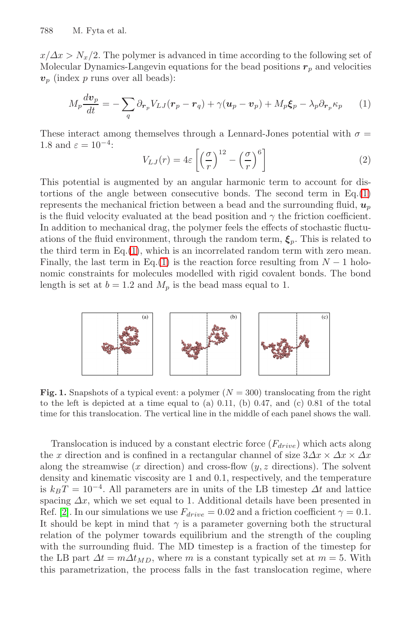788 M. Fyta et al.

 $x/\Delta x > N_x/2$ . The polymer is advanced in time according to the following set of Molecular Dynamics-Langevin equations for the bead positions  $r_p$  and velocities  $v_p$  (index p runs over all beads):

$$
M_p \frac{dv_p}{dt} = -\sum_q \partial_{\mathbf{r}_p} V_{LJ}(\mathbf{r}_p - \mathbf{r}_q) + \gamma (\mathbf{u}_p - \mathbf{v}_p) + M_p \xi_p - \lambda_p \partial_{\mathbf{r}_p} \kappa_p \tag{1}
$$

These interact among themselves through a Lennard-Jones potential with  $\sigma =$ 1.8 and  $\varepsilon = 10^{-4}$ :

$$
V_{LJ}(r) = 4\varepsilon \left[ \left( \frac{\sigma}{r} \right)^{12} - \left( \frac{\sigma}{r} \right)^6 \right] \tag{2}
$$

This potential is augmented by an angular harmonic term to account for distortions of the angle between consecutive bonds. The second term in  $Eq.(1)$ represents the mechanical friction between a bead and the surrounding fluid,  $u_p$ is the fluid velocity evaluated at the bead position and  $\gamma$  the friction coefficient. In addition to mechanical drag, the polymer feels the effects of stochastic fluctuations of the fluid environment, through the random term,  $\xi_p$ . This is related to the third term in Eq.(1), which is an incorrelated random term with zero mean. Finally, the last term in Eq.(1) is the reaction force resulting from  $N - 1$  holonomic constraints for molecules modelled with rigid covalent bonds. The bond length is set at  $b = 1.2$  and  $M_p$  is the bead mass equal to 1.



**Fig. 1.** Snapshots of a typical event: a polymer  $(N = 300)$  translocating from the right to the left is depicted at a time equal to (a)  $0.11$ , (b)  $0.47$ , and (c)  $0.81$  of the total time for this translocation. The vertical line in the middle of each panel shows the wall.

Translocation is induced by a constant electric force  $(F_{drive})$  which acts along the x direction and is confined in a rectangular channel of size  $3\Delta x \times \Delta x \times \Delta x$ along the streamwise  $(x$  direction) and cross-flow  $(y, z$  directions). The solvent density and kinematic viscosity are 1 and 0.1, respectively, and the temperature is  $k_BT = 10^{-4}$ . All parameters are in units of the LB timestep  $\Delta t$  and lattice spacing  $\Delta x$ , which we set equal to 1. Additional details have been presented in Ref. [2]. In our simulations we use  $F_{drive} = 0.02$  and a friction coefficient  $\gamma = 0.1$ . It should be kept in mind that  $\gamma$  is a parameter governing both the structural relation of the polymer towards equilibrium and the strength of the coupling with the surrounding fluid. The MD timestep is a fraction of the timestep for the LB part  $\Delta t = m \Delta t_{MD}$ , where m is a constant typically set at  $m = 5$ . With this parametrization, the process falls in the fast translocation regime, where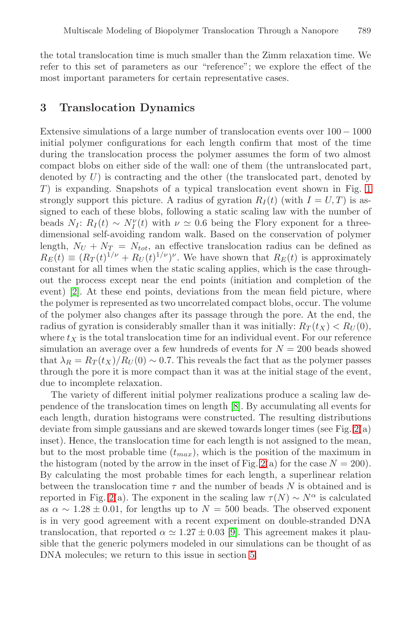the total translocation time is much smaller than the Zimm relaxation time. We refer to this set of parameters as our "reference"; we explore the effect of the most important parameters for certain representative cases.

#### **3 Translocation Dynamics**

Extensive simulations of a large number of translocation events over  $100 - 1000$ initial polymer configurations for each length confirm that most of the time during the translocation process the polymer assumes the form of two almost compact blobs on either side of the wall: one of them (the untranslocated part, denoted by  $U$ ) is contracting and the other (the translocated part, denoted by  $T$ ) is expanding. Snapshots of a typical translocation event shown in Fig. 1 strongly support this picture. A radius of gyration  $R_I(t)$  (with  $I = U, T$ ) is assigned to each of these blobs, following a static scaling law with the number of beads  $N_I: R_I(t) \sim N_I^{\nu}(t)$  with  $\nu \simeq 0.6$  being the Flory exponent for a threedimensional self-avoiding random walk. Based on the conservation of polymer length,  $N_U + N_T = N_{tot}$ , an effective translocation radius can be defined as  $R_E(t) \equiv (R_T(t)^{1/\nu} + R_U(t)^{1/\nu})^{\nu}$ . We have shown that  $R_E(t)$  is approximately constant for all times when the static scaling applies, which is the case throughout the process except near the end points (initiation and completion of the event) [2]. At these end points, deviations from the mean field picture, where the polymer is represented as two uncorrelated compact blobs, occur. The volume of the polymer also changes after its passage through the pore. At the end, the radius of gyration is considerably smaller than it was initially:  $R_T(t_X) < R_U(0)$ , where  $t_X$  is the total translocation time for an individual event. For our reference simulation an average over a few hundreds of events for  $N = 200$  beads showed that  $\lambda_R = R_T(t_X)/R_U(0) \sim 0.7$ . This reveals the fact that as the polymer passes through the pore it is more compact than it was at the initial stage of the event, due to incomplete relaxation.

The variety of different initial polymer realizations produce a scaling law dependence of the translocation times on length [8]. By accumulating all events for each length, duration histograms were constructed. The resulting distributions deviate from simple gaussians and are skewed towards longer times (see Fig. 2(a) inset). Hence, the translocation time for each length is not assigned to the mean, but to the most probable time  $(t_{max})$ , which is the position of the maximum in the histogram (noted by the arrow in the inset of Fig. 2(a) for the case  $N = 200$ ). By calculating the most probable times for each length, a superlinear relation between the translocation time  $\tau$  and the number of beads N is obtained and is reported in Fig. 2(a). The exponent in the scaling law  $\tau(N) \sim N^{\alpha}$  is calculated as  $\alpha \sim 1.28 \pm 0.01$ , for lengths up to  $N = 500$  beads. The observed exponent is in very good agreement with a recent experiment on double-stranded DNA translocation, that reported  $\alpha \simeq 1.27 \pm 0.03$  [9]. This agreement makes it plausible that the generic polymers modeled in our simulations can be thought of as DNA molecules; we return to this issue in section 5.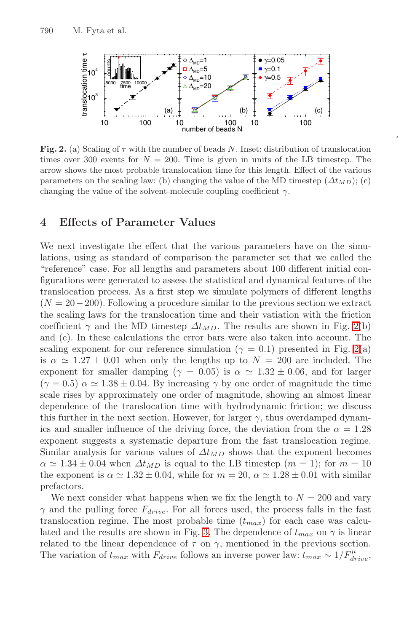790 M. Fyta et al.



**Fig. 2.** (a) Scaling of  $\tau$  with the number of beads N. Inset: distribution of translocation times over 300 events for  $N = 200$ . Time is given in units of the LB timestep. The arrow shows the most probable translocation time for this length. Effect of the various parameters on the scaling law: (b) changing the value of the MD timestep  $(\Delta t_{MD})$ ; (c) changing the value of the solvent-molecule coupling coefficient  $\gamma$ .

### **4 Effects of Parameter Values**

We next investigate the effect that the various parameters have on the simulations, using as standard of comparison the parameter set that we called the "reference" case. For all lengths and parameters about 100 different initial configurations were generated to assess the statistical and dynamical features of the translocation process. As a first step we simulate polymers of different lengths  $(N = 20 - 200)$ . Following a procedure similar to the previous section we extract the scaling laws for the translocation time and their vatiation with the friction coefficient  $\gamma$  and the MD timestep  $\Delta t_{MD}$ . The results are shown in Fig. 2(b) and (c). In these calculations the error bars were also taken into account. The scaling exponent for our reference simulation ( $\gamma = 0.1$ ) presented in Fig. 2(a) is  $\alpha \simeq 1.27 \pm 0.01$  when only the lengths up to  $N = 200$  are included. The exponent for smaller damping ( $\gamma = 0.05$ ) is  $\alpha \approx 1.32 \pm 0.06$ , and for larger  $(\gamma = 0.5)$   $\alpha \simeq 1.38 \pm 0.04$ . By increasing  $\gamma$  by one order of magnitude the time scale rises by approximately one order of magnitude, showing an almost linear dependence of the translocation time with hydrodynamic friction; we discuss this further in the next section. However, for larger  $\gamma$ , thus overdamped dynamics and smaller influence of the driving force, the deviation from the  $\alpha = 1.28$ exponent suggests a systematic departure from the fast translocation regime. Similar analysis for various values of  $\Delta t_{MD}$  shows that the exponent becomes  $\alpha \simeq 1.34 \pm 0.04$  when  $\Delta t_{MD}$  is equal to the LB timestep  $(m = 1)$ ; for  $m = 10$ the exponent is  $\alpha \approx 1.32 \pm 0.04$ , while for  $m = 20$ ,  $\alpha \approx 1.28 \pm 0.01$  with similar prefactors.

We next consider what happens when we fix the length to  $N = 200$  and vary  $\gamma$  and the pulling force  $F_{drive}$ . For all forces used, the process falls in the fast translocation regime. The most probable time  $(t_{max})$  for each case was calculated and the results are shown in Fig. 3. The dependence of  $t_{max}$  on  $\gamma$  is linear related to the linear dependence of  $\tau$  on  $\gamma$ , mentioned in the previous section. The variation of  $t_{max}$  with  $F_{drive}$  follows an inverse power law:  $t_{max} \sim 1/F_{drive}^{\mu}$ ,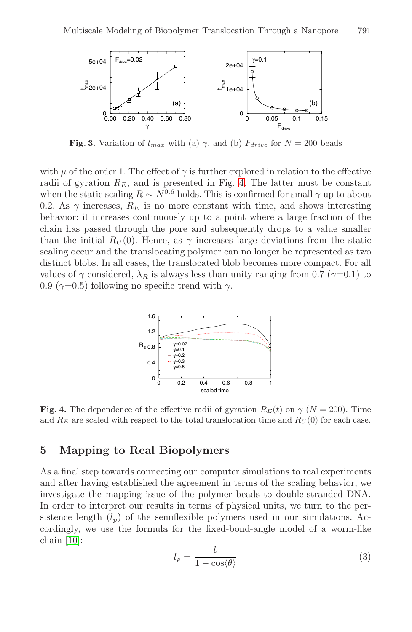

**Fig. 3.** Variation of  $t_{max}$  with (a)  $\gamma$ , and (b)  $F_{drive}$  for  $N = 200$  beads

with  $\mu$  of the order 1. The effect of  $\gamma$  is further explored in relation to the effective radii of gyration  $R_E$ , and is presented in Fig. 4. The latter must be constant when the static scaling  $R \sim N^{0.6}$  holds. This is confirmed for small  $\gamma$  up to about 0.2. As  $\gamma$  increases,  $R_E$  is no more constant with time, and shows interesting behavior: it increases continuously up to a point where a large fraction of the chain has passed through the pore and subsequently drops to a value smaller than the initial  $R_U(0)$ . Hence, as  $\gamma$  increases large deviations from the static scaling occur and the translocating polymer can no longer be represented as two distinct blobs. In all cases, the translocated blob becomes more compact. For all values of  $\gamma$  considered,  $\lambda_R$  is always less than unity ranging from 0.7 ( $\gamma$ =0.1) to 0.9 ( $\gamma$ =0.5) following no specific trend with  $\gamma$ .



**Fig. 4.** The dependence of the effective radii of gyration  $R_E(t)$  on  $\gamma$  ( $N = 200$ ). Time and  $R_E$  are scaled with respect to the total translocation time and  $R_U(0)$  for each case.

## **5 Mapping to Real Biopolymers**

As a final step towards connecting our computer simulations to real experiments and after having established the agreement in terms of the scaling behavior, we investigate the mapping issue of the polymer beads to double-stranded DNA. In order to interpret our results in terms of physical units, we turn to the persistence length  $(l_p)$  of the semiflexible polymers used in our simulations. Accordingly, we use the formula for the fixed-bond-angle model of a worm-like chain [10]:

$$
l_p = \frac{b}{1 - \cos(\theta)}\tag{3}
$$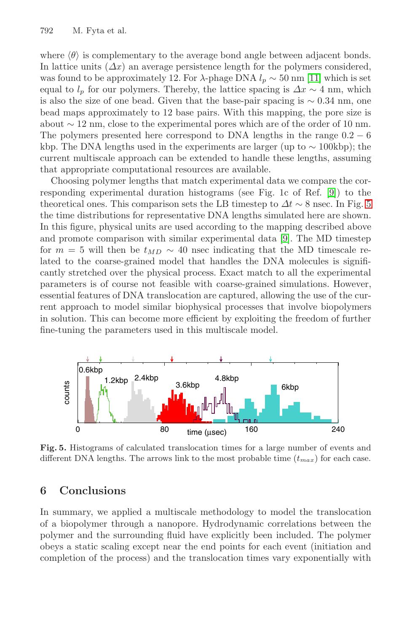#### 792 M. Fyta et al.

where  $\langle \theta \rangle$  is complementary to the average bond angle between adjacent bonds. In lattice units  $(\Delta x)$  an average persistence length for the polymers considered, was found to be approximately 12. For  $\lambda$ -phage DNA  $l_p \sim 50 \text{ nm}$  [11] which is set equal to  $l_p$  for our polymers. Thereby, the lattice spacing is  $\Delta x \sim 4$  nm, which is also the size of one bead. Given that the base-pair spacing is  $\sim 0.34$  nm, one bead maps approximately to 12 base pairs. With this mapping, the pore size is about  $\sim$  12 nm, close to the experimental pores which are of the order of 10 nm. The polymers presented here correspond to DNA lengths in the range  $0.2 - 6$ kbp. The DNA lengths used in the experiments are larger (up to ∼ 100kbp); the current multiscale approach can be extended to handle these lengths, assuming that appropriate computational resources are available.

Choosing polymer lengths that match experimental data we compare the corresponding experimental duration histograms (see Fig. 1c of Ref. [9]) to the theoretical ones. This comparison sets the LB timestep to  $\Delta t \sim 8$  nsec. In Fig. 5 the time distributions for representative DNA lengths simulated here are shown. In this figure, physical units are used according to the mapping described above and promote comparison with similar experimental data [9]. The MD timestep for  $m = 5$  will then be  $t_{MD} \sim 40$  nsec indicating that the MD timescale related to the coarse-grained model that handles the DNA molecules is significantly stretched over the physical process. Exact match to all the experimental parameters is of course not feasible with coarse-grained simulations. However, essential features of DNA translocation are captured, allowing the use of the current approach to model similar biophysical processes that involve biopolymers in solution. This can become more efficient by exploiting the freedom of further fine-tuning the parameters used in this multiscale model.



**Fig. 5.** Histograms of calculated translocation times for a large number of events and different DNA lengths. The arrows link to the most probable time  $(t_{max})$  for each case.

#### **6 Conclusions**

In summary, we applied a multiscale methodology to model the translocation of a biopolymer through a nanopore. Hydrodynamic correlations between the polymer and the surrounding fluid have explicitly been included. The polymer obeys a static scaling except near the end points for each event (initiation and completion of the process) and the translocation times vary exponentially with